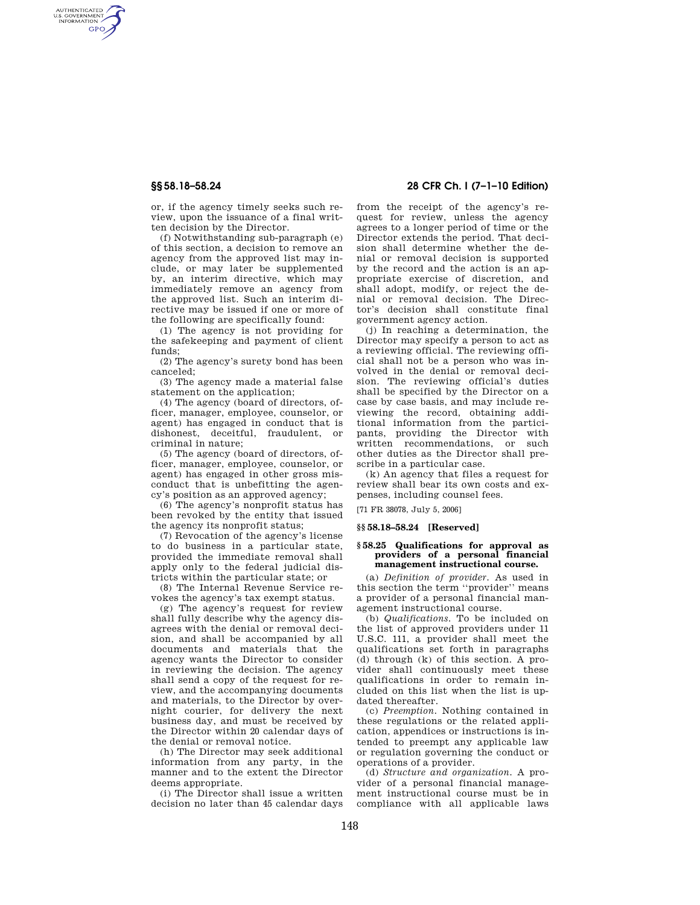AUTHENTICATED<br>U.S. GOVERNMENT<br>INFORMATION **GPO** 

> or, if the agency timely seeks such review, upon the issuance of a final written decision by the Director.

> (f) Notwithstanding sub-paragraph (e) of this section, a decision to remove an agency from the approved list may include, or may later be supplemented by, an interim directive, which may immediately remove an agency from the approved list. Such an interim directive may be issued if one or more of the following are specifically found:

> (1) The agency is not providing for the safekeeping and payment of client funds;

> (2) The agency's surety bond has been canceled;

> (3) The agency made a material false statement on the application;

> (4) The agency (board of directors, officer, manager, employee, counselor, or agent) has engaged in conduct that is dishonest, deceitful, fraudulent, or criminal in nature;

> (5) The agency (board of directors, officer, manager, employee, counselor, or agent) has engaged in other gross misconduct that is unbefitting the agency's position as an approved agency;

> (6) The agency's nonprofit status has been revoked by the entity that issued the agency its nonprofit status;

> (7) Revocation of the agency's license to do business in a particular state, provided the immediate removal shall apply only to the federal judicial districts within the particular state; or

> (8) The Internal Revenue Service revokes the agency's tax exempt status.

(g) The agency's request for review shall fully describe why the agency disagrees with the denial or removal decision, and shall be accompanied by all documents and materials that the agency wants the Director to consider in reviewing the decision. The agency shall send a copy of the request for review, and the accompanying documents and materials, to the Director by overnight courier, for delivery the next business day, and must be received by the Director within 20 calendar days of the denial or removal notice.

(h) The Director may seek additional information from any party, in the manner and to the extent the Director deems appropriate.

(i) The Director shall issue a written decision no later than 45 calendar days

## **§§ 58.18–58.24 28 CFR Ch. I (7–1–10 Edition)**

from the receipt of the agency's request for review, unless the agency agrees to a longer period of time or the Director extends the period. That decision shall determine whether the denial or removal decision is supported by the record and the action is an appropriate exercise of discretion, and shall adopt, modify, or reject the denial or removal decision. The Director's decision shall constitute final government agency action.

(j) In reaching a determination, the Director may specify a person to act as a reviewing official. The reviewing official shall not be a person who was involved in the denial or removal decision. The reviewing official's duties shall be specified by the Director on a case by case basis, and may include reviewing the record, obtaining additional information from the participants, providing the Director with written recommendations, or such other duties as the Director shall prescribe in a particular case.

(k) An agency that files a request for review shall bear its own costs and expenses, including counsel fees.

[71 FR 38078, July 5, 2006]

## **§§ 58.18–58.24 [Reserved]**

#### **§ 58.25 Qualifications for approval as providers of a personal financial management instructional course.**

(a) *Definition of provider.* As used in this section the term ''provider'' means a provider of a personal financial management instructional course.

(b) *Qualifications.* To be included on the list of approved providers under 11 U.S.C. 111, a provider shall meet the qualifications set forth in paragraphs (d) through (k) of this section. A provider shall continuously meet these qualifications in order to remain included on this list when the list is updated thereafter.

(c) *Preemption.* Nothing contained in these regulations or the related application, appendices or instructions is intended to preempt any applicable law or regulation governing the conduct or operations of a provider.

(d) *Structure and organization.* A provider of a personal financial management instructional course must be in compliance with all applicable laws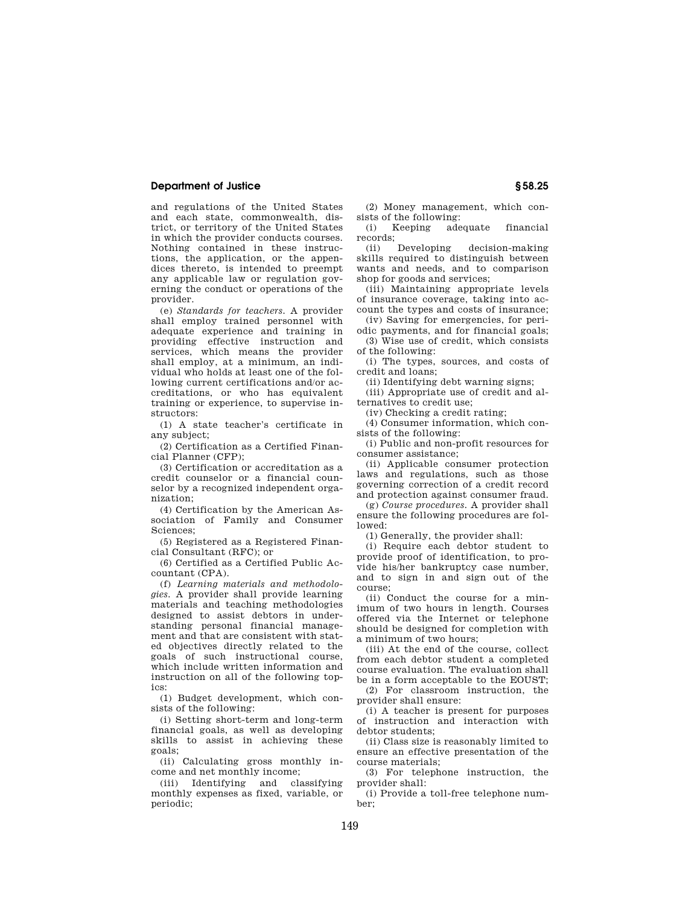### **Department of Justice § 58.25**

and regulations of the United States and each state, commonwealth, district, or territory of the United States in which the provider conducts courses. Nothing contained in these instructions, the application, or the appendices thereto, is intended to preempt any applicable law or regulation governing the conduct or operations of the provider.

(e) *Standards for teachers.* A provider shall employ trained personnel with adequate experience and training in providing effective instruction and services, which means the provider shall employ, at a minimum, an individual who holds at least one of the following current certifications and/or accreditations, or who has equivalent training or experience, to supervise instructors:

(1) A state teacher's certificate in any subject;

(2) Certification as a Certified Financial Planner (CFP);

(3) Certification or accreditation as a credit counselor or a financial counselor by a recognized independent organization;

(4) Certification by the American Association of Family and Consumer Sciences;

(5) Registered as a Registered Financial Consultant (RFC); or

(6) Certified as a Certified Public Accountant (CPA).

(f) *Learning materials and methodologies.* A provider shall provide learning materials and teaching methodologies designed to assist debtors in understanding personal financial management and that are consistent with stated objectives directly related to the goals of such instructional course, which include written information and instruction on all of the following topics:

(1) Budget development, which consists of the following:

(i) Setting short-term and long-term financial goals, as well as developing skills to assist in achieving these goals;

(ii) Calculating gross monthly income and net monthly income;

(iii) Identifying and classifying monthly expenses as fixed, variable, or periodic;

(2) Money management, which consists of the following:

(i) Keeping adequate financial

records;<br>(ii) Developing decision-making skills required to distinguish between wants and needs, and to comparison shop for goods and services;

(iii) Maintaining appropriate levels of insurance coverage, taking into account the types and costs of insurance;

(iv) Saving for emergencies, for periodic payments, and for financial goals;

(3) Wise use of credit, which consists of the following:

(i) The types, sources, and costs of credit and loans;

(ii) Identifying debt warning signs;

(iii) Appropriate use of credit and alternatives to credit use;

(iv) Checking a credit rating;

(4) Consumer information, which consists of the following:

(i) Public and non-profit resources for consumer assistance;

(ii) Applicable consumer protection laws and regulations, such as those governing correction of a credit record and protection against consumer fraud.

(g) *Course procedures.* A provider shall ensure the following procedures are followed:

(1) Generally, the provider shall:

(i) Require each debtor student to provide proof of identification, to provide his/her bankruptcy case number, and to sign in and sign out of the course;

(ii) Conduct the course for a minimum of two hours in length. Courses offered via the Internet or telephone should be designed for completion with a minimum of two hours;

(iii) At the end of the course, collect from each debtor student a completed course evaluation. The evaluation shall be in a form acceptable to the EOUST;

(2) For classroom instruction, the provider shall ensure:

(i) A teacher is present for purposes of instruction and interaction with debtor students;

(ii) Class size is reasonably limited to ensure an effective presentation of the course materials;

(3) For telephone instruction, the provider shall:

(i) Provide a toll-free telephone number;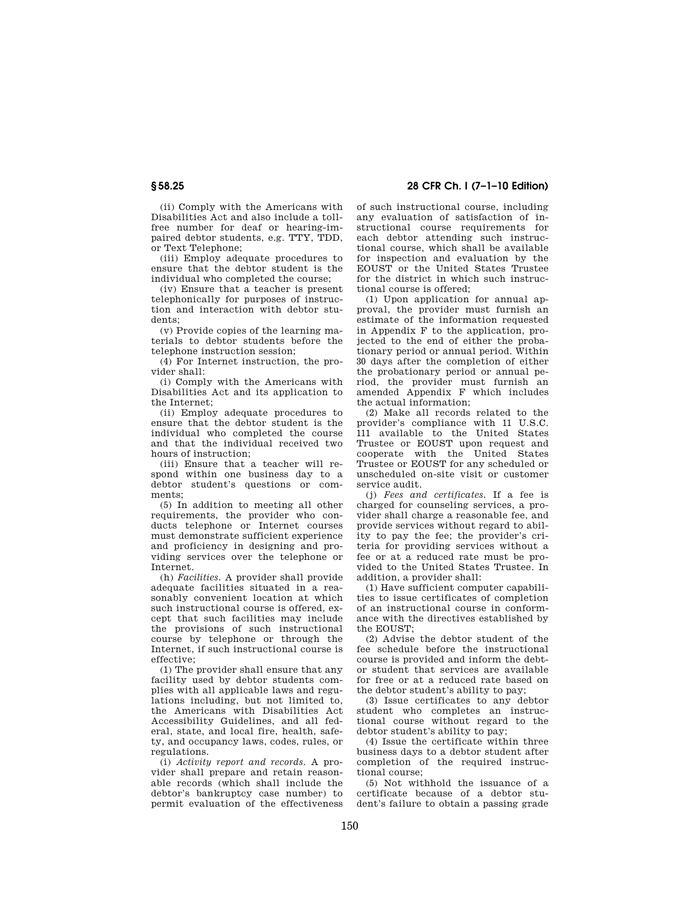(ii) Comply with the Americans with Disabilities Act and also include a tollfree number for deaf or hearing-impaired debtor students, e.g. TTY, TDD, or Text Telephone;

(iii) Employ adequate procedures to ensure that the debtor student is the individual who completed the course;

(iv) Ensure that a teacher is present telephonically for purposes of instruction and interaction with debtor students;

(v) Provide copies of the learning materials to debtor students before the telephone instruction session;

(4) For Internet instruction, the provider shall:

(i) Comply with the Americans with Disabilities Act and its application to the Internet;

(ii) Employ adequate procedures to ensure that the debtor student is the individual who completed the course and that the individual received two hours of instruction;

(iii) Ensure that a teacher will respond within one business day to a debtor student's questions or comments;

(5) In addition to meeting all other requirements, the provider who conducts telephone or Internet courses must demonstrate sufficient experience and proficiency in designing and providing services over the telephone or Internet.

(h) *Facilities.* A provider shall provide adequate facilities situated in a reasonably convenient location at which such instructional course is offered, except that such facilities may include the provisions of such instructional course by telephone or through the Internet, if such instructional course is effective;

(1) The provider shall ensure that any facility used by debtor students complies with all applicable laws and regulations including, but not limited to, the Americans with Disabilities Act Accessibility Guidelines, and all federal, state, and local fire, health, safety, and occupancy laws, codes, rules, or regulations.

(i) *Activity report and records.* A provider shall prepare and retain reasonable records (which shall include the debtor's bankruptcy case number) to permit evaluation of the effectiveness

# **§ 58.25 28 CFR Ch. I (7–1–10 Edition)**

of such instructional course, including any evaluation of satisfaction of instructional course requirements for each debtor attending such instructional course, which shall be available for inspection and evaluation by the EOUST or the United States Trustee for the district in which such instructional course is offered;

(1) Upon application for annual approval, the provider must furnish an estimate of the information requested in Appendix F to the application, projected to the end of either the probationary period or annual period. Within 30 days after the completion of either the probationary period or annual period, the provider must furnish an amended Appendix F which includes the actual information;

(2) Make all records related to the provider's compliance with 11 U.S.C. 111 available to the United States Trustee or EOUST upon request and cooperate with the United States Trustee or EOUST for any scheduled or unscheduled on-site visit or customer service audit.

(j) *Fees and certificates.* If a fee is charged for counseling services, a provider shall charge a reasonable fee, and provide services without regard to ability to pay the fee; the provider's criteria for providing services without a fee or at a reduced rate must be provided to the United States Trustee. In addition, a provider shall:

(1) Have sufficient computer capabilities to issue certificates of completion of an instructional course in conformance with the directives established by  $the$  EOUST $\cdot$ 

(2) Advise the debtor student of the fee schedule before the instructional course is provided and inform the debtor student that services are available for free or at a reduced rate based on the debtor student's ability to pay;

(3) Issue certificates to any debtor student who completes an instructional course without regard to the debtor student's ability to pay;

(4) Issue the certificate within three business days to a debtor student after completion of the required instructional course;

(5) Not withhold the issuance of a certificate because of a debtor student's failure to obtain a passing grade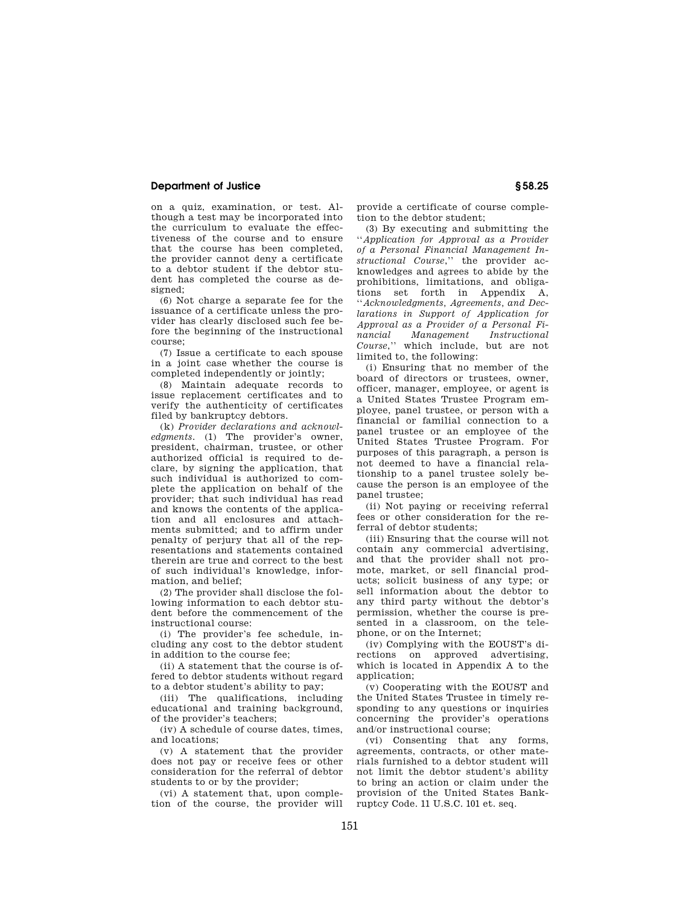## **Department of Justice § 58.25**

on a quiz, examination, or test. Although a test may be incorporated into the curriculum to evaluate the effectiveness of the course and to ensure that the course has been completed, the provider cannot deny a certificate to a debtor student if the debtor student has completed the course as designed;

(6) Not charge a separate fee for the issuance of a certificate unless the provider has clearly disclosed such fee before the beginning of the instructional course;

(7) Issue a certificate to each spouse in a joint case whether the course is completed independently or jointly;

(8) Maintain adequate records to issue replacement certificates and to verify the authenticity of certificates filed by bankruptcy debtors.

(k) *Provider declarations and acknowledgments.* (1) The provider's owner, president, chairman, trustee, or other authorized official is required to declare, by signing the application, that such individual is authorized to complete the application on behalf of the provider; that such individual has read and knows the contents of the application and all enclosures and attachments submitted; and to affirm under penalty of perjury that all of the representations and statements contained therein are true and correct to the best of such individual's knowledge, information, and belief;

(2) The provider shall disclose the following information to each debtor student before the commencement of the instructional course:

(i) The provider's fee schedule, including any cost to the debtor student in addition to the course fee;

(ii) A statement that the course is offered to debtor students without regard to a debtor student's ability to pay;

(iii) The qualifications, including educational and training background, of the provider's teachers;

(iv) A schedule of course dates, times, and locations;

(v) A statement that the provider does not pay or receive fees or other consideration for the referral of debtor students to or by the provider;

(vi) A statement that, upon completion of the course, the provider will provide a certificate of course completion to the debtor student;

(3) By executing and submitting the ''*Application for Approval as a Provider of a Personal Financial Management Instructional Course*,'' the provider acknowledges and agrees to abide by the prohibitions, limitations, and obligations set forth in Appendix A, ''*Acknowledgments, Agreements, and Declarations in Support of Application for Approval as a Provider of a Personal Financial Management Instructional Course*,'' which include, but are not limited to, the following:

(i) Ensuring that no member of the board of directors or trustees, owner, officer, manager, employee, or agent is a United States Trustee Program employee, panel trustee, or person with a financial or familial connection to a panel trustee or an employee of the United States Trustee Program. For purposes of this paragraph, a person is not deemed to have a financial relationship to a panel trustee solely because the person is an employee of the panel trustee;

(ii) Not paying or receiving referral fees or other consideration for the referral of debtor students;

(iii) Ensuring that the course will not contain any commercial advertising, and that the provider shall not promote, market, or sell financial products; solicit business of any type; or sell information about the debtor to any third party without the debtor's permission, whether the course is presented in a classroom, on the telephone, or on the Internet;

(iv) Complying with the EOUST's directions on approved advertising, which is located in Appendix A to the application;

(v) Cooperating with the EOUST and the United States Trustee in timely responding to any questions or inquiries concerning the provider's operations and/or instructional course;

(vi) Consenting that any forms, agreements, contracts, or other materials furnished to a debtor student will not limit the debtor student's ability to bring an action or claim under the provision of the United States Bankruptcy Code. 11 U.S.C. 101 et. seq.